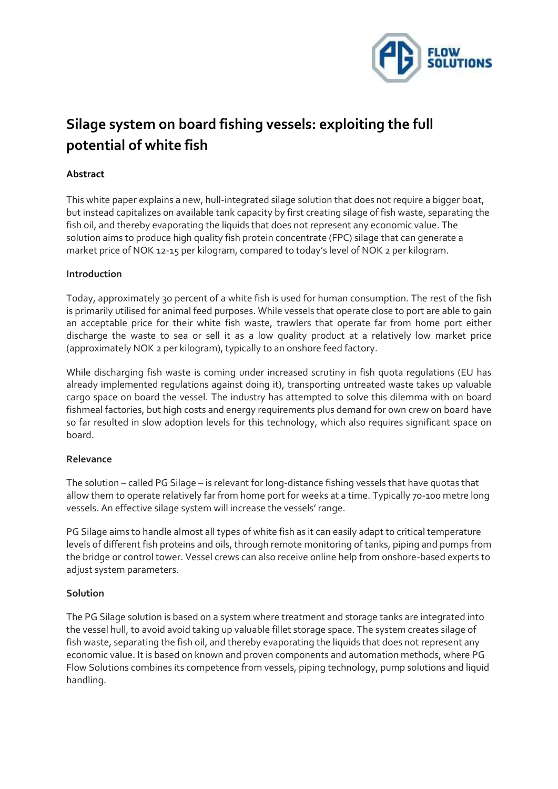

# **Silage system on board fishing vessels: exploiting the full potential of white fish**

# **Abstract**

This white paper explains a new, hull-integrated silage solution that does not require a bigger boat, but instead capitalizes on available tank capacity by first creating silage of fish waste, separating the fish oil, and thereby evaporating the liquids that does not represent any economic value. The solution aims to produce high quality fish protein concentrate (FPC) silage that can generate a market price of NOK 12-15 per kilogram, compared to today's level of NOK 2 per kilogram.

## **Introduction**

Today, approximately 3o percent of a white fish is used for human consumption. The rest of the fish is primarily utilised for animal feed purposes. While vessels that operate close to port are able to gain an acceptable price for their white fish waste, trawlers that operate far from home port either discharge the waste to sea or sell it as a low quality product at a relatively low market price (approximately NOK 2 per kilogram), typically to an onshore feed factory.

While discharging fish waste is coming under increased scrutiny in fish quota regulations (EU has already implemented regulations against doing it), transporting untreated waste takes up valuable cargo space on board the vessel. The industry has attempted to solve this dilemma with on board fishmeal factories, but high costs and energy requirements plus demand for own crew on board have so far resulted in slow adoption levels for this technology, which also requires significant space on board.

## **Relevance**

The solution – called PG Silage – is relevant for long-distance fishing vessels that have quotas that allow them to operate relatively far from home port for weeks at a time. Typically 70-100 metre long vessels. An effective silage system will increase the vessels' range.

PG Silage aims to handle almost all types of white fish as it can easily adapt to critical temperature levels of different fish proteins and oils, through remote monitoring of tanks, piping and pumps from the bridge or control tower. Vessel crews can also receive online help from onshore-based experts to adjust system parameters.

## **Solution**

The PG Silage solution is based on a system where treatment and storage tanks are integrated into the vessel hull, to avoid avoid taking up valuable fillet storage space. The system creates silage of fish waste, separating the fish oil, and thereby evaporating the liquids that does not represent any economic value. It is based on known and proven components and automation methods, where PG Flow Solutions combines its competence from vessels, piping technology, pump solutions and liquid handling.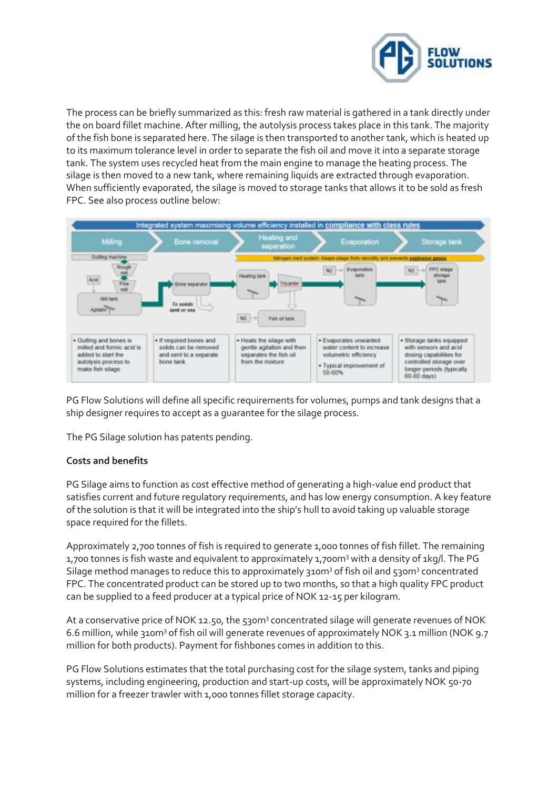

The process can be briefly summarized as this: fresh raw material is gathered in a tank directly under the on board fillet machine. After milling, the autolysis process takes place in this tank. The majority of the fish bone is separated here. The silage is then transported to another tank, which is heated up to its maximum tolerance level in order to separate the fish oil and move it into a separate storage tank. The system uses recycled heat from the main engine to manage the heating process. The silage is then moved to a new tank, where remaining liquids are extracted through evaporation. When sufficiently evaporated, the silage is moved to storage tanks that allows it to be sold as fresh FPC. See also process outline below:



PG Flow Solutions will define all specific requirements for volumes, pumps and tank designs that a ship designer requires to accept as a guarantee for the silage process.

The PG Silage solution has patents pending.

## **Costs and benefits**

PG Silage aims to function as cost effective method of generating a high-value end product that satisfies current and future regulatory requirements, and has low energy consumption. A key feature of the solution is that it will be integrated into the ship's hull to avoid taking up valuable storage space required for the fillets.

Approximately 2,700 tonnes of fish is required to generate 1,000 tonnes of fish fillet. The remaining 1,700 tonnes is fish waste and equivalent to approximately 1,700m<sup>3</sup> with a density of 1kg/l. The PG Silage method manages to reduce this to approximately 310m<sup>3</sup> of fish oil and 530m<sup>3</sup> concentrated FPC. The concentrated product can be stored up to two months, so that a high quality FPC product can be supplied to a feed producer at a typical price of NOK 12-15 per kilogram.

At a conservative price of NOK 12.50, the 530m<sup>3</sup> concentrated silage will generate revenues of NOK 6.6 million, while 310m<sup>3</sup> of fish oil will generate revenues of approximately NOK 3.1 million (NOK 9.7 million for both products). Payment for fishbones comes in addition to this.

PG Flow Solutions estimates that the total purchasing cost for the silage system, tanks and piping systems, including engineering, production and start-up costs, will be approximately NOK 50-70 million for a freezer trawler with 1,000 tonnes fillet storage capacity.